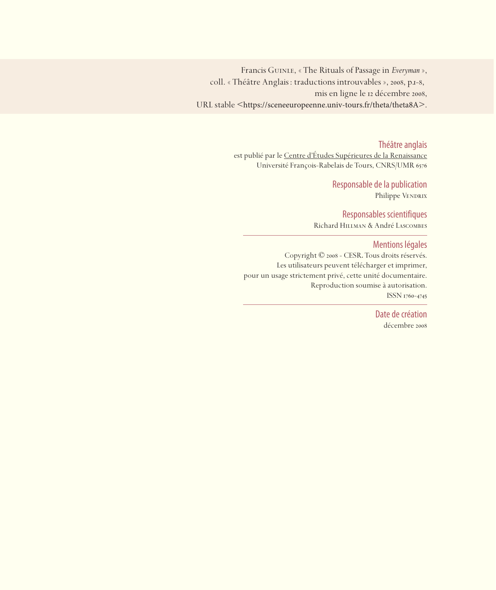Francis Guinle, « The Rituals of Passage in *Everyman* », coll. « Théâtre Anglais : traductions introuvables », 2008, p.1-8, mis en ligne le 12 décembre 2008, URL stable <https://sceneeuropeenne.univ-tours.fr/theta/theta8A>.

Théâtre anglais

est publié par le Centre d'études Supérieures de la Renaissance Université François-Rabelais de Tours, CNRS/UMR

> Responsable de la publication Philippe VENDRIX

Responsables scientifiques Richard Hillman & André Lascombes

Mentions légales

Copyright © 2008 - CESR. Tous droits réservés. Les utilisateurs peuvent télécharger et imprimer, pour un usage strictement privé, cette unité documentaire. Reproduction soumise à autorisation. ISSN 1760-4745

> Date de création décembre 2008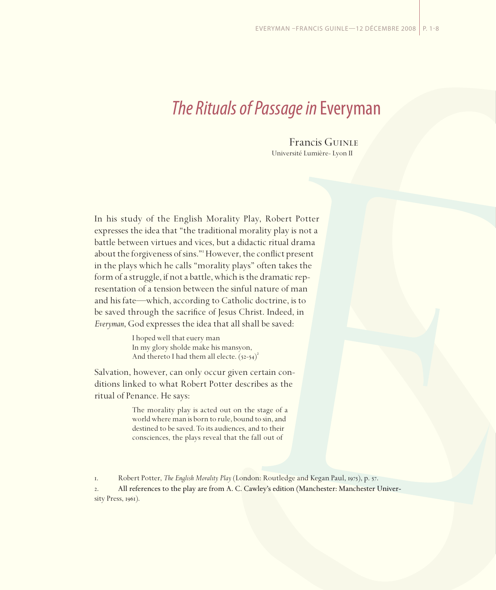## *The Rituals of Passage in* Everyman

Francis Guinle Université Lumière- Lyon II

In his study of the English Morality Play, Robert Potter expresses the idea that "the traditional morality play is not a battle between virtues and vices, but a didactic ritual drama about the forgiveness of sins." However, the conflict present in the plays which he calls "morality plays" often takes the form of a struggle, if not a battle, which is the dramatic representation of a tension between the sinful nature of man and his fate—which, according to Catholic doctrine, is to be saved through the sacrifice of Jesus Christ. Indeed, in *Everyman*, God expresses the idea that all shall be saved:

> I hoped well that euery man In my glory sholde make his mansyon, And thereto I had them all electe.  $(52-54)^2$ í

Salvation, however, can only occur given certain conditions linked to what Robert Potter describes as the ritual of Penance. He says:

> The morality play is acted out on the stage of a world where man is born to rule, bound to sin, and destined to be saved. To its audiences, and to their consciences, the plays reveal that the fall out of

r. Robert Potter, *The English Morality Play* (London: Routledge and Kegan Paul, 1975), p. 57.

. All references to the play are from A. C. Cawley's edition (Manchester: Manchester Univer- University Press,  $1961$ ).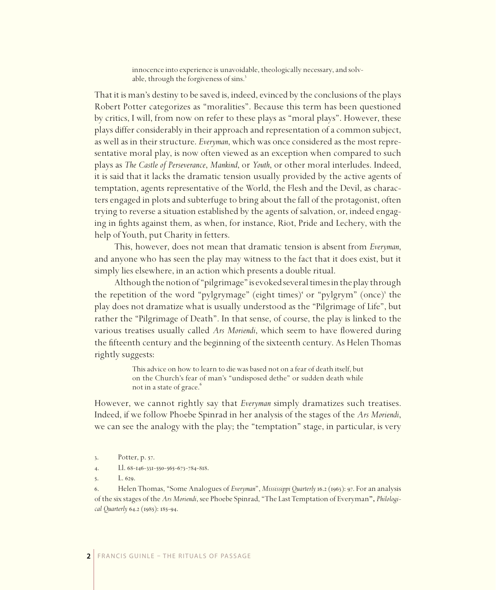innocence into experience is unavoidable, theologically necessary, and solvable, through the forgiveness of sins.

That it is man's destiny to be saved is, indeed, evinced by the conclusions of the plays Robert Potter categorizes as "moralities". Because this term has been questioned by critics, I will, from now on refer to these plays as "moral plays". However, these plays differ considerably in their approach and representation of a common subject, as well as in their structure. *Everyman*, which was once considered as the most representative moral play, is now often viewed as an exception when compared to such plays as *The Castle of Perseverance*, *Mankind*, or *Youth*, or other moral interludes. Indeed, it is said that it lacks the dramatic tension usually provided by the active agents of temptation, agents representative of the World, the Flesh and the Devil, as characters engaged in plots and subterfuge to bring about the fall of the protagonist, often trying to reverse a situation established by the agents of salvation, or, indeed engaging in fights against them, as when, for instance, Riot, Pride and Lechery, with the help of Youth, put Charity in fetters.

This, however, does not mean that dramatic tension is absent from *Everyman*, and anyone who has seen the play may witness to the fact that it does exist, but it simply lies elsewhere, in an action which presents a double ritual.

Although the notion of "pilgrimage" is evoked several times in the play through the repetition of the word "pylgrymage" (eight times)<sup>4</sup> or "pylgrym" (once)<sup>5</sup> the play does not dramatize what is usually understood as the "Pilgrimage of Life", but rather the "Pilgrimage of Death". In that sense, of course, the play is linked to the various treatises usually called *Ars Moriendi*, which seem to have flowered during the fifteenth century and the beginning of the sixteenth century. As Helen Thomas rightly suggests:

> This advice on how to learn to die was based not on a fear of death itself, but on the Church's fear of man's "undisposed dethe" or sudden death while not in a state of grace.

However, we cannot rightly say that *Everyman* simply dramatizes such treatises. Indeed, if we follow Phoebe Spinrad in her analysis of the stages of the *Ars Moriendi*, we can see the analogy with the play; the "temptation" stage, in particular, is very

4. Ll.  $68-146-331-550-565-673-784-818$ .

 $L. 629.$ 

6. Helen Thomas, "Some Analogues of *Everyman"*, *Mississippi Quarterly* 16.2 (1963): 97. For an analysis of the six stages of the *Ars Moriendi*, see Phoebe Spinrad, "The Last Temptation of Everyman**",** *Philological Quarterly* 64.2 (1985): 185-94.

<sup>3.</sup> Potter, p. 57.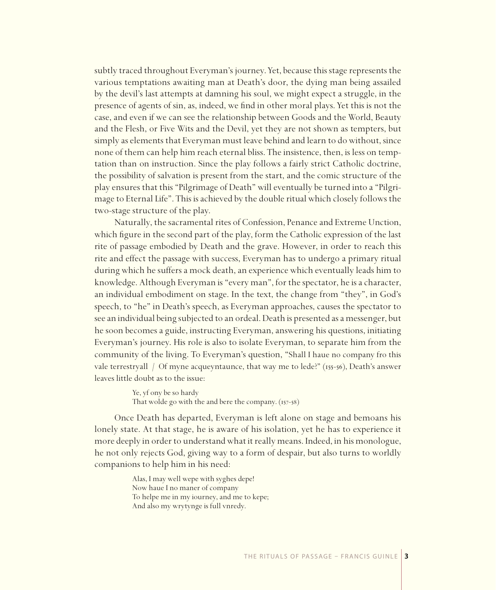subtly traced throughout Everyman's journey. Yet, because this stage represents the various temptations awaiting man at Death's door, the dying man being assailed by the devil's last attempts at damning his soul, we might expect a struggle, in the presence of agents of sin, as, indeed, we find in other moral plays. Yet this is not the case, and even if we can see the relationship between Goods and the World, Beauty and the Flesh, or Five Wits and the Devil, yet they are not shown as tempters, but simply as elements that Everyman must leave behind and learn to do without, since none of them can help him reach eternal bliss. The insistence, then, is less on temptation than on instruction. Since the play follows a fairly strict Catholic doctrine, the possibility of salvation is present from the start, and the comic structure of the play ensures that this "Pilgrimage of Death" will eventually be turned into a "Pilgrimage to Eternal Life". This is achieved by the double ritual which closely follows the two-stage structure of the play.

Naturally, the sacramental rites of Confession, Penance and Extreme Unction, which figure in the second part of the play, form the Catholic expression of the last rite of passage embodied by Death and the grave. However, in order to reach this rite and effect the passage with success, Everyman has to undergo a primary ritual during which he suffers a mock death, an experience which eventually leads him to knowledge. Although Everyman is "every man", for the spectator, he is a character, an individual embodiment on stage. In the text, the change from "they", in God's speech, to "he" in Death's speech, as Everyman approaches, causes the spectator to see an individual being subjected to an ordeal. Death is presented as a messenger, but he soon becomes a guide, instructing Everyman, answering his questions, initiating Everyman's journey. His role is also to isolate Everyman, to separate him from the community of the living. To Everyman's question, "Shall I haue no company fro this vale terrestryall / Of myne acqueyntaunce, that way me to lede?" ( $_{155-56}$ ), Death's answer leaves little doubt as to the issue:

> Ye, yf ony be so hardy That wolde go with the and bere the company.  $(157-58)$

Once Death has departed, Everyman is left alone on stage and bemoans his lonely state. At that stage, he is aware of his isolation, yet he has to experience it more deeply in order to understand what it really means. Indeed, in his monologue, he not only rejects God, giving way to a form of despair, but also turns to worldly companions to help him in his need:

> Alas, I may well wepe with syghes depe! Now haue I no maner of company To helpe me in my iourney, and me to kepe; And also my wrytynge is full vnredy.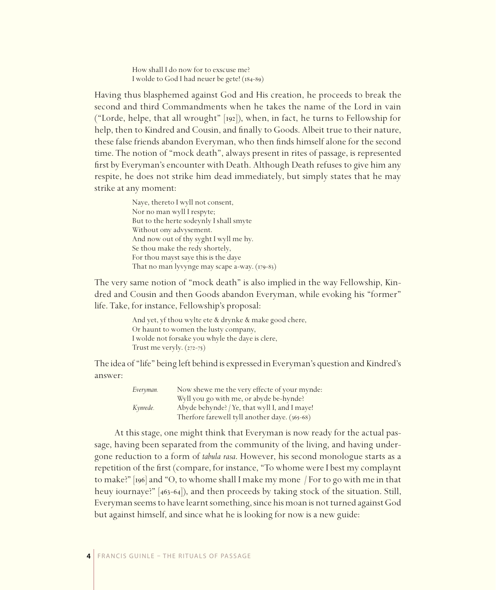How shall I do now for to exscuse me? I wolde to God I had neuer be gete!  $(184-89)$ 

Having thus blasphemed against God and His creation, he proceeds to break the second and third Commandments when he takes the name of the Lord in vain ("Lorde, helpe, that all wrought"  $[192]$ ), when, in fact, he turns to Fellowship for help, then to Kindred and Cousin, and finally to Goods. Albeit true to their nature, these false friends abandon Everyman, who then finds himself alone for the second time. The notion of "mock death", always present in rites of passage, is represented first by Everyman's encounter with Death. Although Death refuses to give him any respite, he does not strike him dead immediately, but simply states that he may strike at any moment:

> Naye, thereto I wyll not consent, Nor no man wyll I respyte; But to the herte sodeynly I shall smyte Without ony advysement. And now out of thy syght I wyll me hy. Se thou make the redy shortely, For thou mayst saye this is the daye That no man lyvynge may scape a-way.  $(179-83)$

The very same notion of "mock death" is also implied in the way Fellowship, Kindred and Cousin and then Goods abandon Everyman, while evoking his "former" life. Take, for instance, Fellowship's proposal:

> And yet, yf thou wylte ete & drynke & make good chere, Or haunt to women the lusty company, I wolde not forsake you whyle the daye is clere, Trust me veryly.  $(272-75)$

The idea of "life" being left behind is expressed in Everyman's question and Kindred's answer:

| Everyman. | Now shewe me the very effecte of your mynde:  |
|-----------|-----------------------------------------------|
|           | Wyll you go with me, or abyde be-hynde?       |
| Kynrede.  | Abyde behynde? / Ye, that wyll I, and I maye! |
|           | Therfore farewell tyll another daye. (365-68) |

At this stage, one might think that Everyman is now ready for the actual passage, having been separated from the community of the living, and having undergone reduction to a form of *tabula rasa*. However, his second monologue starts as a repetition of the first (compare, for instance, "To whome were I best my complaynt to make?"  $\lceil \log \rceil$  and "O, to whome shall I make my mone / For to go with me in that heuy iournaye?"  $[463-64]$ , and then proceeds by taking stock of the situation. Still, Everyman seems to have learnt something, since his moan is not turned against God but against himself, and since what he is looking for now is a new guide: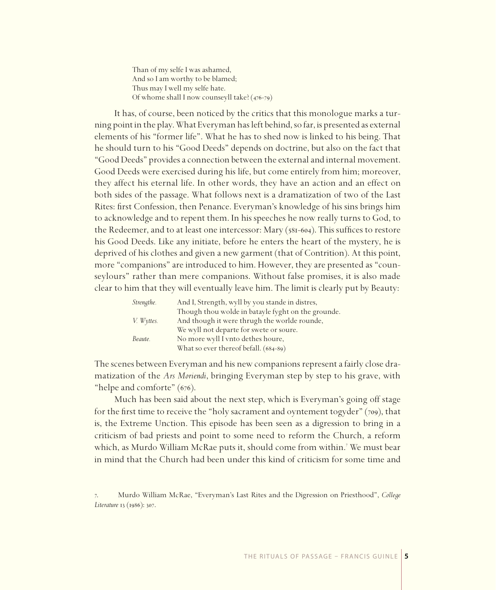Than of my selfe I was ashamed, And so I am worthy to be blamed; Thus may I well my selfe hate. Of whome shall I now counseyll take?  $(476-79)$ 

It has, of course, been noticed by the critics that this monologue marks a turning point in the play. What Everyman has left behind, so far, is presented as external elements of his "former life". What he has to shed now is linked to his being. That he should turn to his "Good Deeds" depends on doctrine, but also on the fact that "Good Deeds" provides a connection between the external and internal movement. Good Deeds were exercised during his life, but come entirely from him; moreover, they affect his eternal life. In other words, they have an action and an effect on both sides of the passage. What follows next is a dramatization of two of the Last Rites: first Confession, then Penance. Everyman's knowledge of his sins brings him to acknowledge and to repent them. In his speeches he now really turns to God, to the Redeemer, and to at least one intercessor: Mary  $(s_{81-604})$ . This suffices to restore his Good Deeds. Like any initiate, before he enters the heart of the mystery, he is deprived of his clothes and given a new garment (that of Contrition). At this point, more "companions" are introduced to him. However, they are presented as "counseylours" rather than mere companions. Without false promises, it is also made clear to him that they will eventually leave him. The limit is clearly put by Beauty:

| Strengthe. | And I, Strength, wyll by you stande in distres,    |
|------------|----------------------------------------------------|
|            | Though thou wolde in batayle fyght on the grounde. |
| V. Wyttes. | And though it were thrugh the worlde rounde,       |
|            | We wyll not departe for swete or soure.            |
| Beaute.    | No more wyll I vnto dethes houre,                  |
|            | What so ever thereof befall. (684-89)              |

The scenes between Everyman and his new companions represent a fairly close dramatization of the *Ars Moriendi*, bringing Everyman step by step to his grave, with "helpe and comforte"  $(676)$ .

Much has been said about the next step, which is Everyman's going off stage for the first time to receive the "holy sacrament and oyntement togyder" (709), that is, the Extreme Unction. This episode has been seen as a digression to bring in a criticism of bad priests and point to some need to reform the Church, a reform which, as Murdo William McRae puts it, should come from within. We must bear in mind that the Church had been under this kind of criticism for some time and

<sup>.</sup> Murdo William McRae, "Everyman's Last Rites and the Digression on Priesthood", *College*  Literature 13 (1986): 307.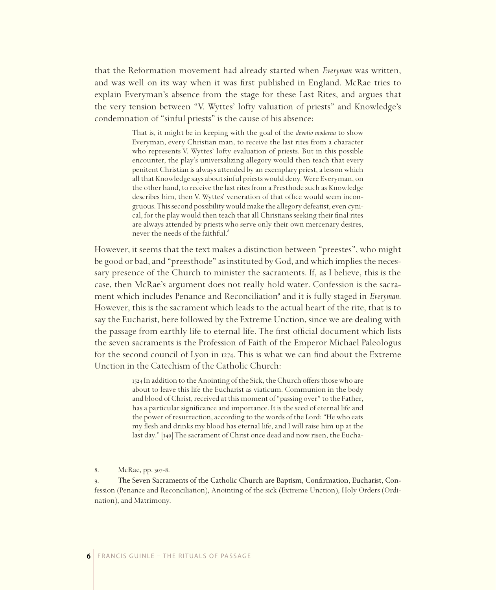that the Reformation movement had already started when *Everyman* was written, and was well on its way when it was first published in England. McRae tries to explain Everyman's absence from the stage for these Last Rites, and argues that the very tension between "V. Wyttes' lofty valuation of priests" and Knowledge's condemnation of "sinful priests" is the cause of his absence:

> That is, it might be in keeping with the goal of the *devotio moderna* to show Everyman, every Christian man, to receive the last rites from a character who represents V. Wyttes' lofty evaluation of priests. But in this possible encounter, the play's universalizing allegory would then teach that every penitent Christian is always attended by an exemplary priest, a lesson which all that Knowledge says about sinful priests would deny. Were Everyman, on the other hand, to receive the last rites from a Presthode such as Knowledge describes him, then V. Wyttes' veneration of that office would seem incongruous. This second possibility would make the allegory defeatist, even cynical, for the play would then teach that all Christians seeking their final rites are always attended by priests who serve only their own mercenary desires, never the needs of the faithful.

However, it seems that the text makes a distinction between "preestes", who might be good or bad, and "preesthode" as instituted by God, and which implies the necessary presence of the Church to minister the sacraments. If, as I believe, this is the case, then McRae's argument does not really hold water. Confession is the sacrament which includes Penance and Reconciliation<sup>9</sup> and it is fully staged in *Everyman*. However, this is the sacrament which leads to the actual heart of the rite, that is to say the Eucharist, here followed by the Extreme Unction, since we are dealing with the passage from earthly life to eternal life. The first official document which lists the seven sacraments is the Profession of Faith of the Emperor Michael Paleologus for the second council of Lyon in  $1274$ . This is what we can find about the Extreme Unction in the Catechism of the Catholic Church:

> In addition to the Anointing of the Sick, the Church offers those who are about to leave this life the Eucharist as viaticum. Communion in the body and blood of Christ, received at this moment of "passing over" to the Father, has a particular significance and importance. It is the seed of eternal life and the power of resurrection, according to the words of the Lord: "He who eats my flesh and drinks my blood has eternal life, and I will raise him up at the last day." [140] The sacrament of Christ once dead and now risen, the Eucha-

8. McRae, pp. 307-8.

9. The Seven Sacraments of the Catholic Church are Baptism, Confirmation, Eucharist, Confession (Penance and Reconciliation), Anointing of the sick (Extreme Unction), Holy Orders (Ordination), and Matrimony.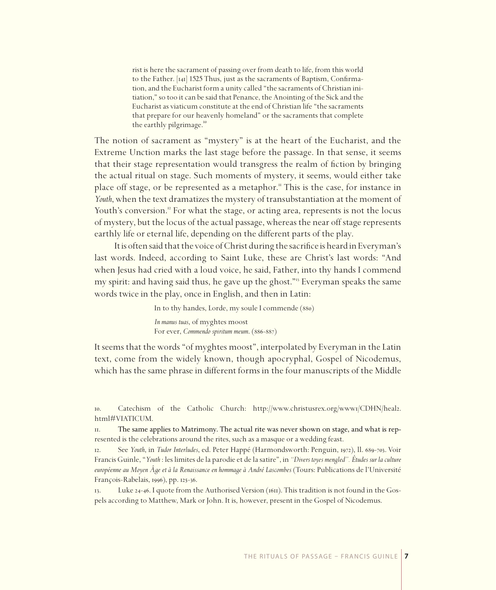rist is here the sacrament of passing over from death to life, from this world to the Father. [141] 1525 Thus, just as the sacraments of Baptism, Confirmation, and the Eucharist form a unity called "the sacraments of Christian initiation," so too it can be said that Penance, the Anointing of the Sick and the Eucharist as viaticum constitute at the end of Christian life "the sacraments that prepare for our heavenly homeland" or the sacraments that complete the earthly pilgrimage.<sup>10</sup>

The notion of sacrament as "mystery" is at the heart of the Eucharist, and the Extreme Unction marks the last stage before the passage. In that sense, it seems that their stage representation would transgress the realm of fiction by bringing the actual ritual on stage. Such moments of mystery, it seems, would either take place off stage, or be represented as a metaphor." This is the case, for instance in *Youth*, when the text dramatizes the mystery of transubstantiation at the moment of Youth's conversion.<sup>"</sup> For what the stage, or acting area, represents is not the locus of mystery, but the locus of the actual passage, whereas the near off stage represents earthly life or eternal life, depending on the different parts of the play.

It is often said that the voice of Christ during the sacrifice is heard in Everyman's last words. Indeed, according to Saint Luke, these are Christ's last words: "And when Jesus had cried with a loud voice, he said, Father, into thy hands I commend my spirit: and having said thus, he gave up the ghost." Everyman speaks the same words twice in the play, once in English, and then in Latin:

> In to thy handes, Lorde, my soule I commende (880) *In manus tuas*, of myghtes moost For ever, *Commendo spiritum meum.* (886-887)

It seems that the words "of myghtes moost", interpolated by Everyman in the Latin text, come from the widely known, though apocryphal, Gospel of Nicodemus, which has the same phrase in different forms in the four manuscripts of the Middle

. Catechism of the Catholic Church: http://www.christusrex.org/www/CDHN/heal. html#VIATICUM.

. The same applies to Matrimony. The actual rite was never shown on stage, and what is rep- represented is the celebrations around the rites, such as a masque or a wedding feast.

12. See *Youth*, in *Tudor Interludes*, ed. Peter Happé (Harmondsworth: Penguin, 1972), ll. 689-703. Voir Francis Guinle, "*Youth* : les limites de la parodie et de la satire", in *"Divers toyes mengled". Études sur la culture européenne au Moyen Âge et à la Renaissance en hommage à André Lascombes* (Tours: Publications de l'Université François-Rabelais, 1996), pp. 125-36.

13. Luke 24-46. I quote from the Authorised Version (1611). This tradition is not found in the Gospels according to Matthew, Mark or John. It is, however, present in the Gospel of Nicodemus.